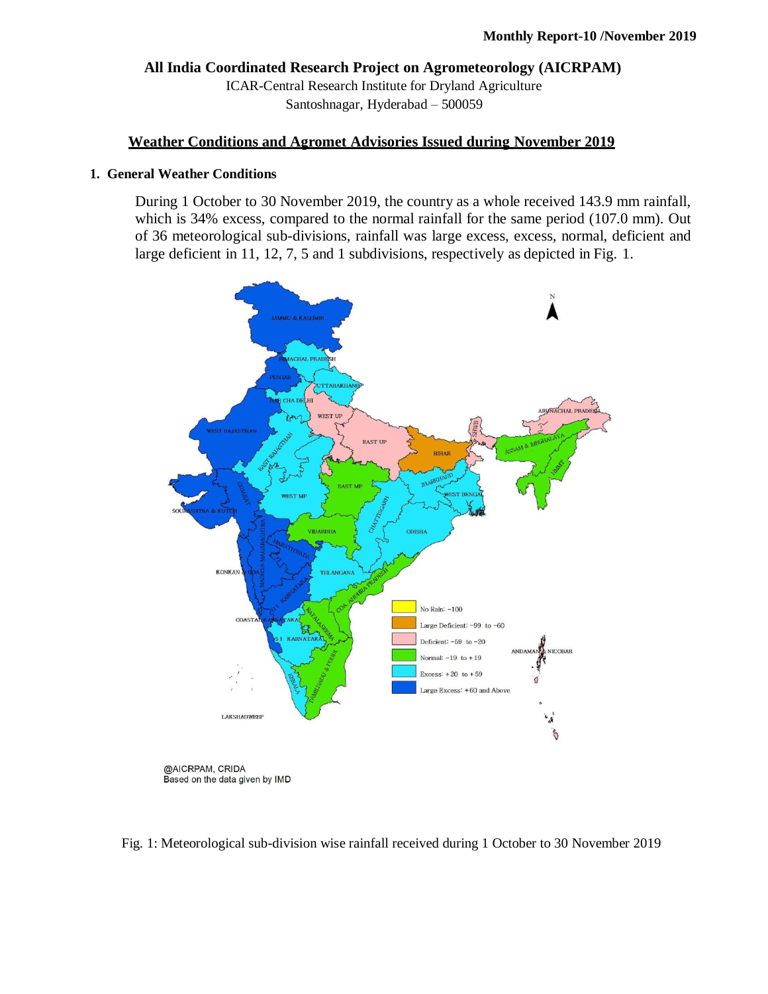**All India Coordinated Research Project on Agrometeorology (AICRPAM)** ICAR-Central Research Institute for Dryland Agriculture Santoshnagar, Hyderabad – 500059

## **Weather Conditions and Agromet Advisories Issued during November 2019**

## **1. General Weather Conditions**

During 1 October to 30 November 2019, the country as a whole received 143.9 mm rainfall, which is 34% excess, compared to the normal rainfall for the same period (107.0 mm). Out of 36 meteorological sub-divisions, rainfall was large excess, excess, normal, deficient and large deficient in 11, 12, 7, 5 and 1 subdivisions, respectively as depicted in Fig. 1.



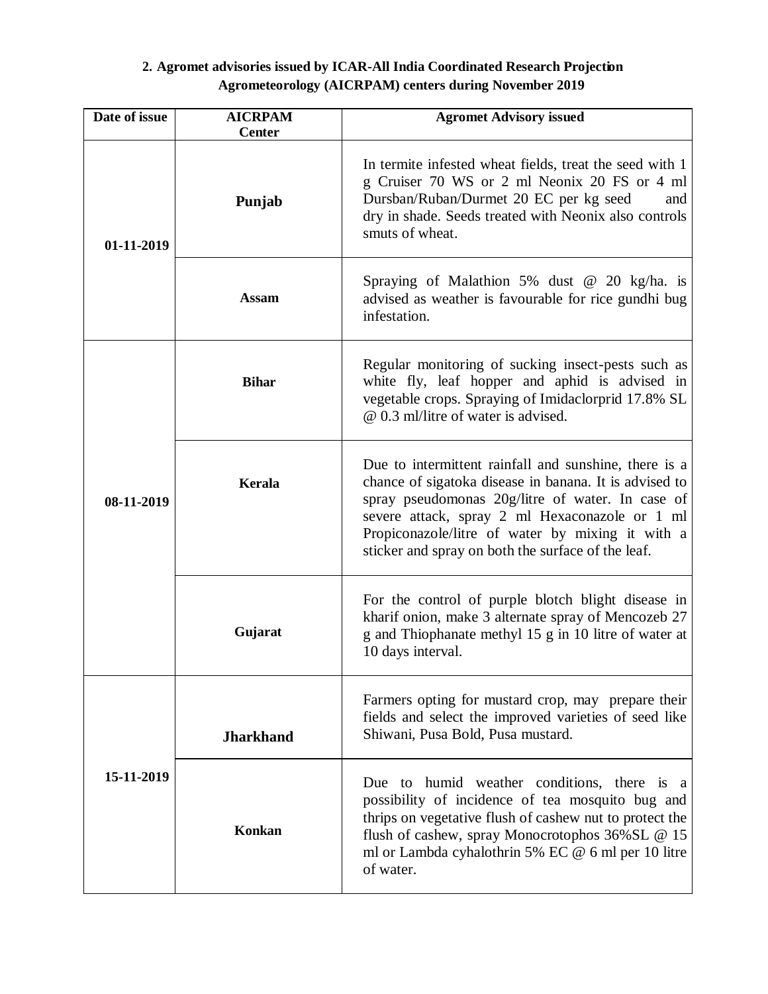## **2. Agromet advisories issued by ICAR-All India Coordinated Research Projection Agrometeorology (AICRPAM) centers during November 2019**

| Date of issue | <b>AICRPAM</b><br><b>Center</b> | <b>Agromet Advisory issued</b>                                                                                                                                                                                                                                                                                                  |
|---------------|---------------------------------|---------------------------------------------------------------------------------------------------------------------------------------------------------------------------------------------------------------------------------------------------------------------------------------------------------------------------------|
| 01-11-2019    | Punjab                          | In termite infested wheat fields, treat the seed with 1<br>g Cruiser 70 WS or 2 ml Neonix 20 FS or 4 ml<br>Dursban/Ruban/Durmet 20 EC per kg seed<br>and<br>dry in shade. Seeds treated with Neonix also controls<br>smuts of wheat.                                                                                            |
|               | <b>Assam</b>                    | Spraying of Malathion 5% dust $\omega$ 20 kg/ha. is<br>advised as weather is favourable for rice gundhi bug<br>infestation.                                                                                                                                                                                                     |
| 08-11-2019    | <b>Bihar</b>                    | Regular monitoring of sucking insect-pests such as<br>white fly, leaf hopper and aphid is advised in<br>vegetable crops. Spraying of Imidaclorprid 17.8% SL<br>@ 0.3 ml/litre of water is advised.                                                                                                                              |
|               | Kerala                          | Due to intermittent rainfall and sunshine, there is a<br>chance of sigatoka disease in banana. It is advised to<br>spray pseudomonas 20g/litre of water. In case of<br>severe attack, spray 2 ml Hexaconazole or 1 ml<br>Propiconazole/litre of water by mixing it with a<br>sticker and spray on both the surface of the leaf. |
|               | Gujarat                         | For the control of purple blotch blight disease in<br>kharif onion, make 3 alternate spray of Mencozeb 27<br>g and Thiophanate methyl 15 g in 10 litre of water at<br>10 days interval.                                                                                                                                         |
| 15-11-2019    | <b>Jharkhand</b>                | Farmers opting for mustard crop, may prepare their<br>fields and select the improved varieties of seed like<br>Shiwani, Pusa Bold, Pusa mustard.                                                                                                                                                                                |
|               | Konkan                          | Due to humid weather conditions, there is a<br>possibility of incidence of tea mosquito bug and<br>thrips on vegetative flush of cashew nut to protect the<br>flush of cashew, spray Monocrotophos 36% SL @ 15<br>ml or Lambda cyhalothrin 5% EC @ 6 ml per 10 litre<br>of water.                                               |